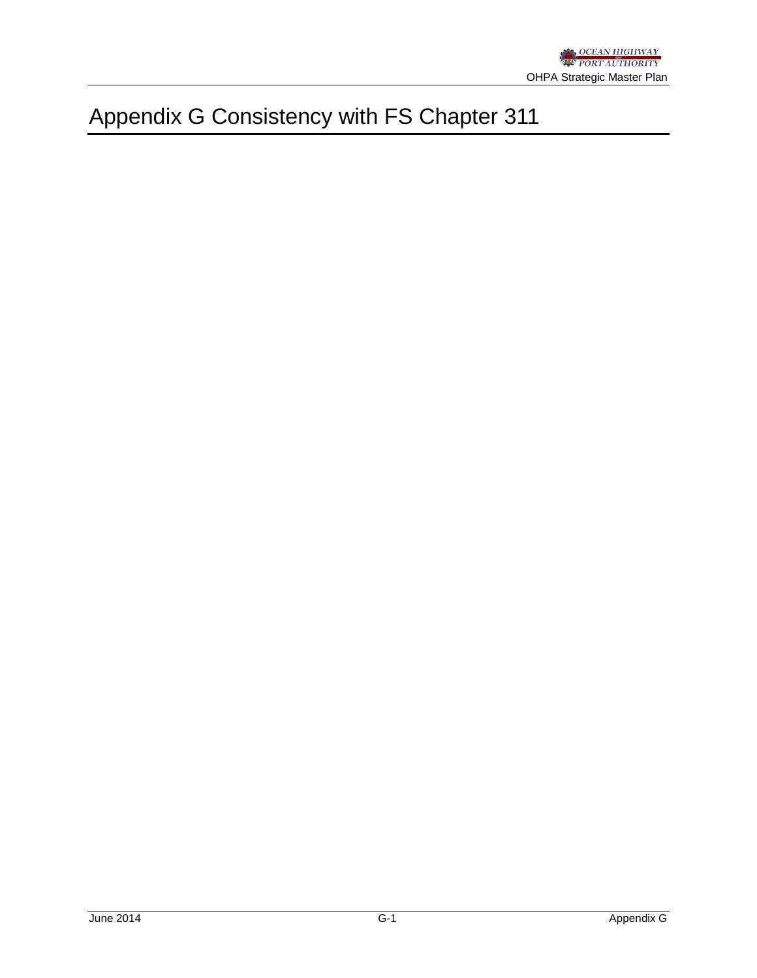# Appendix G Consistency with FS Chapter 311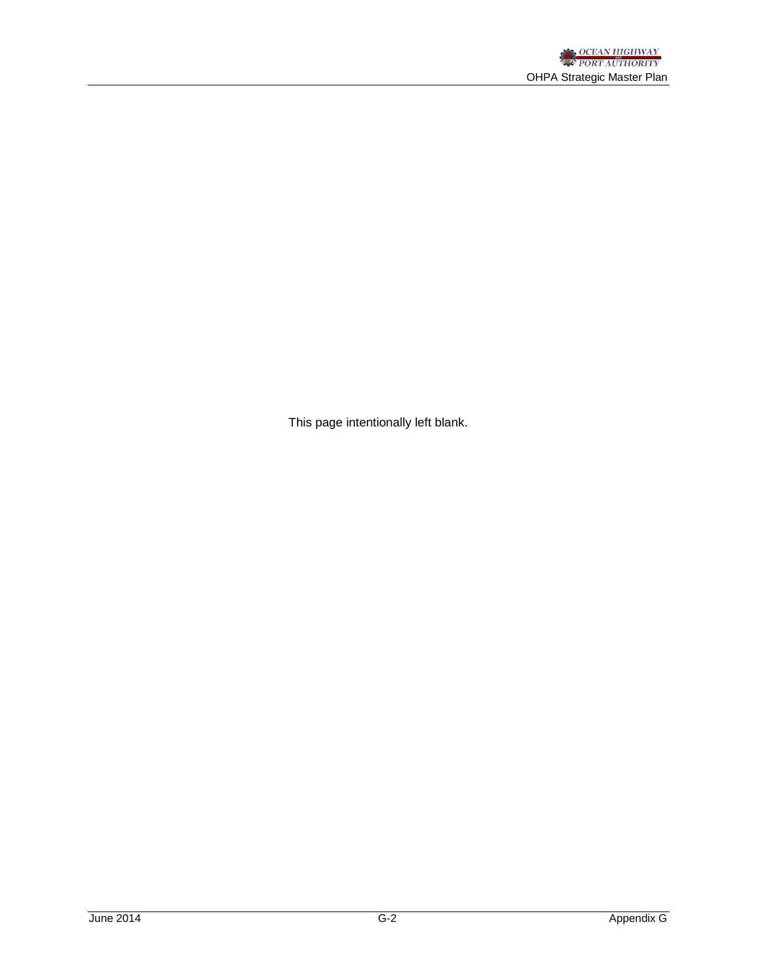This page intentionally left blank.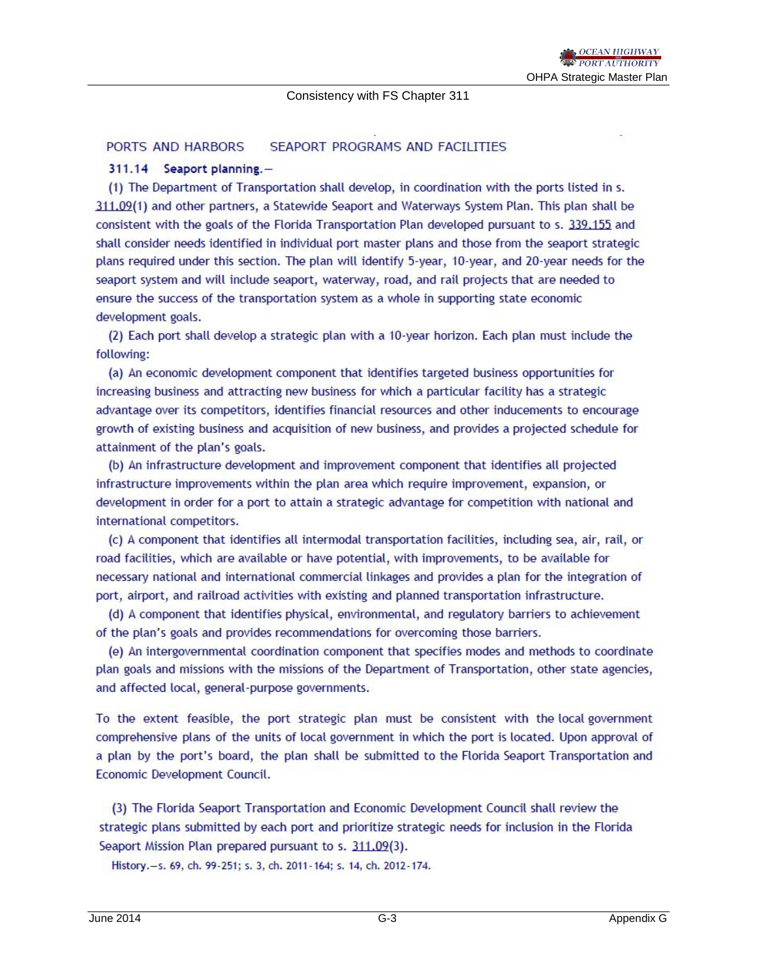#### Consistency with FS Chapter 311

#### PORTS AND HARBORS SEAPORT PROGRAMS AND FACILITIES

### 311.14 Seaport planning.-

(1) The Department of Transportation shall develop, in coordination with the ports listed in s. 311.09(1) and other partners, a Statewide Seaport and Waterways System Plan. This plan shall be consistent with the goals of the Florida Transportation Plan developed pursuant to s. 339,155 and shall consider needs identified in individual port master plans and those from the seaport strategic plans required under this section. The plan will identify 5-year, 10-year, and 20-year needs for the seaport system and will include seaport, waterway, road, and rail projects that are needed to ensure the success of the transportation system as a whole in supporting state economic development goals.

(2) Each port shall develop a strategic plan with a 10-year horizon. Each plan must include the following:

(a) An economic development component that identifies targeted business opportunities for increasing business and attracting new business for which a particular facility has a strategic advantage over its competitors, identifies financial resources and other inducements to encourage growth of existing business and acquisition of new business, and provides a projected schedule for attainment of the plan's goals.

(b) An infrastructure development and improvement component that identifies all projected infrastructure improvements within the plan area which require improvement, expansion, or development in order for a port to attain a strategic advantage for competition with national and international competitors.

(c) A component that identifies all intermodal transportation facilities, including sea, air, rail, or road facilities, which are available or have potential, with improvements, to be available for necessary national and international commercial linkages and provides a plan for the integration of port, airport, and railroad activities with existing and planned transportation infrastructure.

(d) A component that identifies physical, environmental, and regulatory barriers to achievement of the plan's goals and provides recommendations for overcoming those barriers.

(e) An intergovernmental coordination component that specifies modes and methods to coordinate plan goals and missions with the missions of the Department of Transportation, other state agencies, and affected local, general-purpose governments.

To the extent feasible, the port strategic plan must be consistent with the local government comprehensive plans of the units of local government in which the port is located. Upon approval of a plan by the port's board, the plan shall be submitted to the Florida Seaport Transportation and Economic Development Council.

(3) The Florida Seaport Transportation and Economic Development Council shall review the strategic plans submitted by each port and prioritize strategic needs for inclusion in the Florida Seaport Mission Plan prepared pursuant to s. 311.09(3).

History.-s. 69, ch. 99-251; s. 3, ch. 2011-164; s. 14, ch. 2012-174.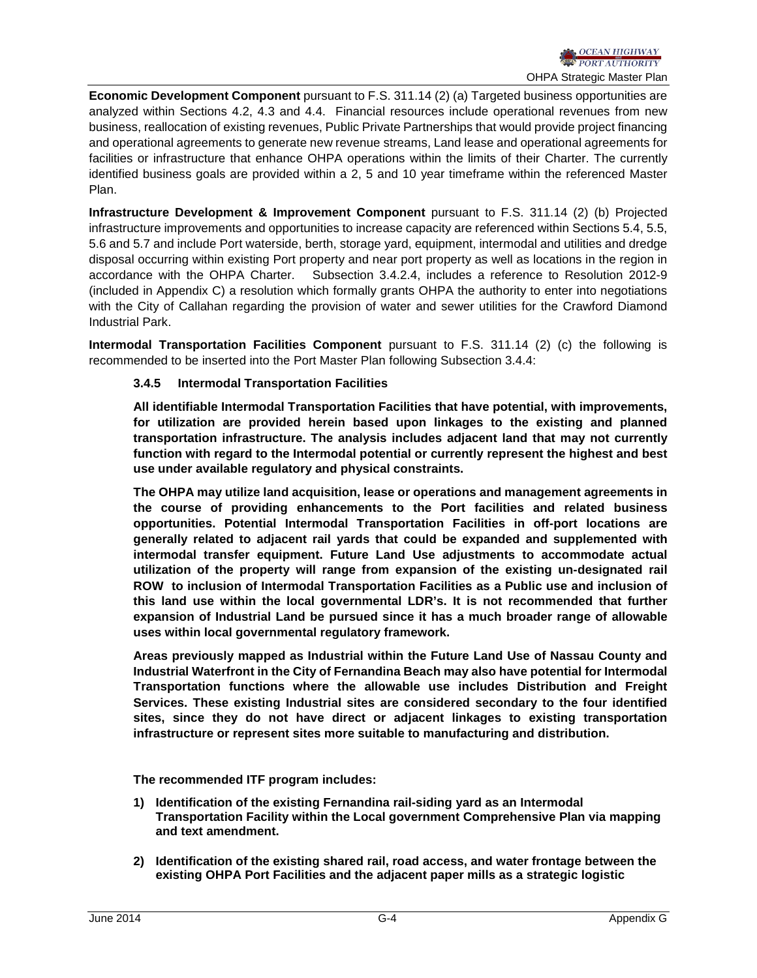**Economic Development Component** pursuant to F.S. 311.14 (2) (a) Targeted business opportunities are analyzed within Sections 4.2, 4.3 and 4.4. Financial resources include operational revenues from new business, reallocation of existing revenues, Public Private Partnerships that would provide project financing and operational agreements to generate new revenue streams, Land lease and operational agreements for facilities or infrastructure that enhance OHPA operations within the limits of their Charter. The currently identified business goals are provided within a 2, 5 and 10 year timeframe within the referenced Master Plan.

**Infrastructure Development & Improvement Component** pursuant to F.S. 311.14 (2) (b) Projected infrastructure improvements and opportunities to increase capacity are referenced within Sections 5.4, 5.5, 5.6 and 5.7 and include Port waterside, berth, storage yard, equipment, intermodal and utilities and dredge disposal occurring within existing Port property and near port property as well as locations in the region in accordance with the OHPA Charter. Subsection 3.4.2.4, includes a reference to Resolution 2012-9 (included in Appendix C) a resolution which formally grants OHPA the authority to enter into negotiations with the City of Callahan regarding the provision of water and sewer utilities for the Crawford Diamond Industrial Park.

**Intermodal Transportation Facilities Component** pursuant to F.S. 311.14 (2) (c) the following is recommended to be inserted into the Port Master Plan following Subsection 3.4.4:

**3.4.5 Intermodal Transportation Facilities**

**All identifiable Intermodal Transportation Facilities that have potential, with improvements, for utilization are provided herein based upon linkages to the existing and planned transportation infrastructure. The analysis includes adjacent land that may not currently function with regard to the Intermodal potential or currently represent the highest and best use under available regulatory and physical constraints.**

**The OHPA may utilize land acquisition, lease or operations and management agreements in the course of providing enhancements to the Port facilities and related business opportunities. Potential Intermodal Transportation Facilities in off-port locations are generally related to adjacent rail yards that could be expanded and supplemented with intermodal transfer equipment. Future Land Use adjustments to accommodate actual utilization of the property will range from expansion of the existing un-designated rail ROW to inclusion of Intermodal Transportation Facilities as a Public use and inclusion of this land use within the local governmental LDR's. It is not recommended that further expansion of Industrial Land be pursued since it has a much broader range of allowable uses within local governmental regulatory framework.**

**Areas previously mapped as Industrial within the Future Land Use of Nassau County and Industrial Waterfront in the City of Fernandina Beach may also have potential for Intermodal Transportation functions where the allowable use includes Distribution and Freight Services. These existing Industrial sites are considered secondary to the four identified sites, since they do not have direct or adjacent linkages to existing transportation infrastructure or represent sites more suitable to manufacturing and distribution.**

**The recommended ITF program includes:**

- **1) Identification of the existing Fernandina rail-siding yard as an Intermodal Transportation Facility within the Local government Comprehensive Plan via mapping and text amendment.**
- **2) Identification of the existing shared rail, road access, and water frontage between the existing OHPA Port Facilities and the adjacent paper mills as a strategic logistic**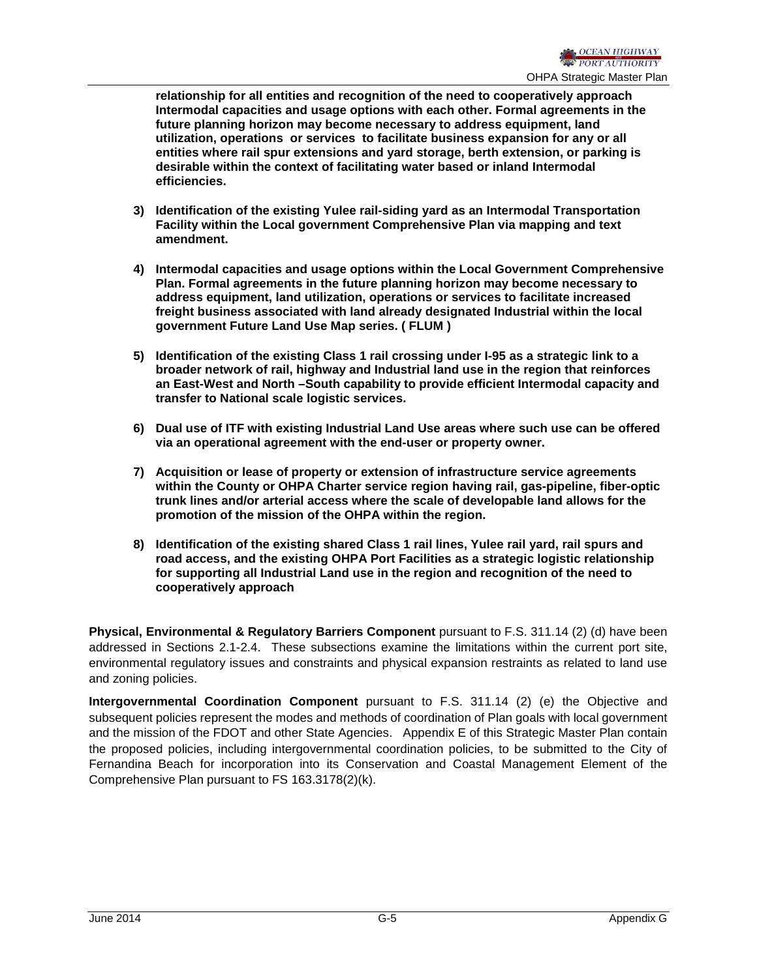**relationship for all entities and recognition of the need to cooperatively approach Intermodal capacities and usage options with each other. Formal agreements in the future planning horizon may become necessary to address equipment, land utilization, operations or services to facilitate business expansion for any or all entities where rail spur extensions and yard storage, berth extension, or parking is desirable within the context of facilitating water based or inland Intermodal efficiencies.** 

- **3) Identification of the existing Yulee rail-siding yard as an Intermodal Transportation Facility within the Local government Comprehensive Plan via mapping and text amendment.**
- **4) Intermodal capacities and usage options within the Local Government Comprehensive Plan. Formal agreements in the future planning horizon may become necessary to address equipment, land utilization, operations or services to facilitate increased freight business associated with land already designated Industrial within the local government Future Land Use Map series. ( FLUM )**
- **5) Identification of the existing Class 1 rail crossing under I-95 as a strategic link to a broader network of rail, highway and Industrial land use in the region that reinforces an East-West and North –South capability to provide efficient Intermodal capacity and transfer to National scale logistic services.**
- **6) Dual use of ITF with existing Industrial Land Use areas where such use can be offered via an operational agreement with the end-user or property owner.**
- **7) Acquisition or lease of property or extension of infrastructure service agreements within the County or OHPA Charter service region having rail, gas-pipeline, fiber-optic trunk lines and/or arterial access where the scale of developable land allows for the promotion of the mission of the OHPA within the region.**
- **8) Identification of the existing shared Class 1 rail lines, Yulee rail yard, rail spurs and road access, and the existing OHPA Port Facilities as a strategic logistic relationship for supporting all Industrial Land use in the region and recognition of the need to cooperatively approach**

**Physical, Environmental & Regulatory Barriers Component** pursuant to F.S. 311.14 (2) (d) have been addressed in Sections 2.1-2.4. These subsections examine the limitations within the current port site, environmental regulatory issues and constraints and physical expansion restraints as related to land use and zoning policies.

**Intergovernmental Coordination Component** pursuant to F.S. 311.14 (2) (e) the Objective and subsequent policies represent the modes and methods of coordination of Plan goals with local government and the mission of the FDOT and other State Agencies. Appendix E of this Strategic Master Plan contain the proposed policies, including intergovernmental coordination policies, to be submitted to the City of Fernandina Beach for incorporation into its Conservation and Coastal Management Element of the Comprehensive Plan pursuant to FS 163.3178(2)(k).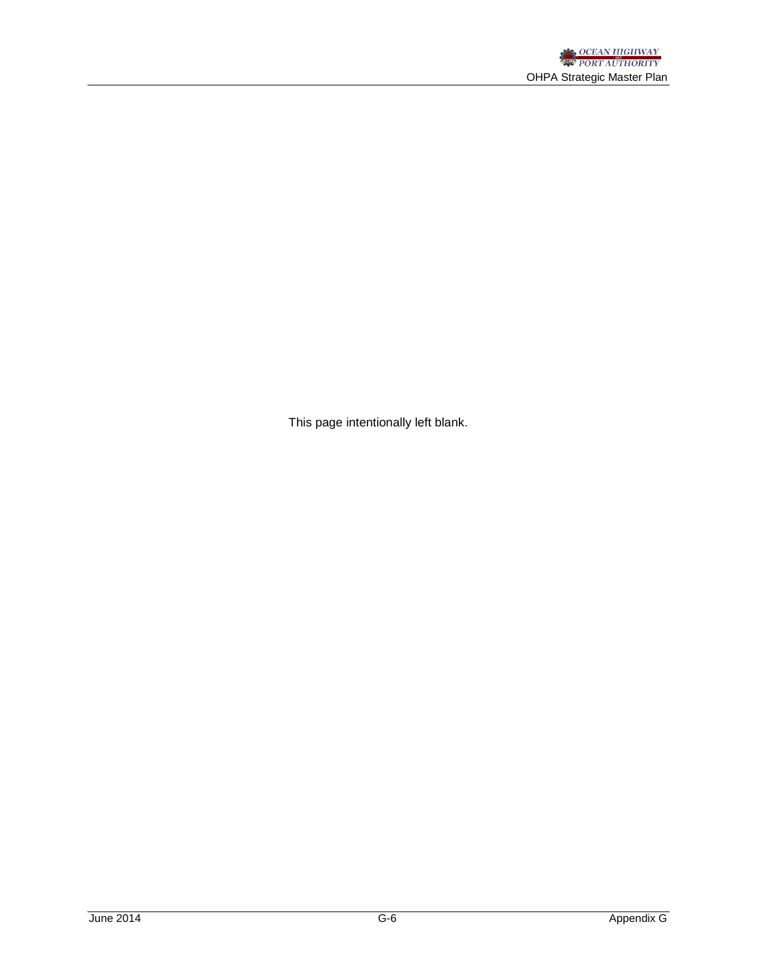This page intentionally left blank.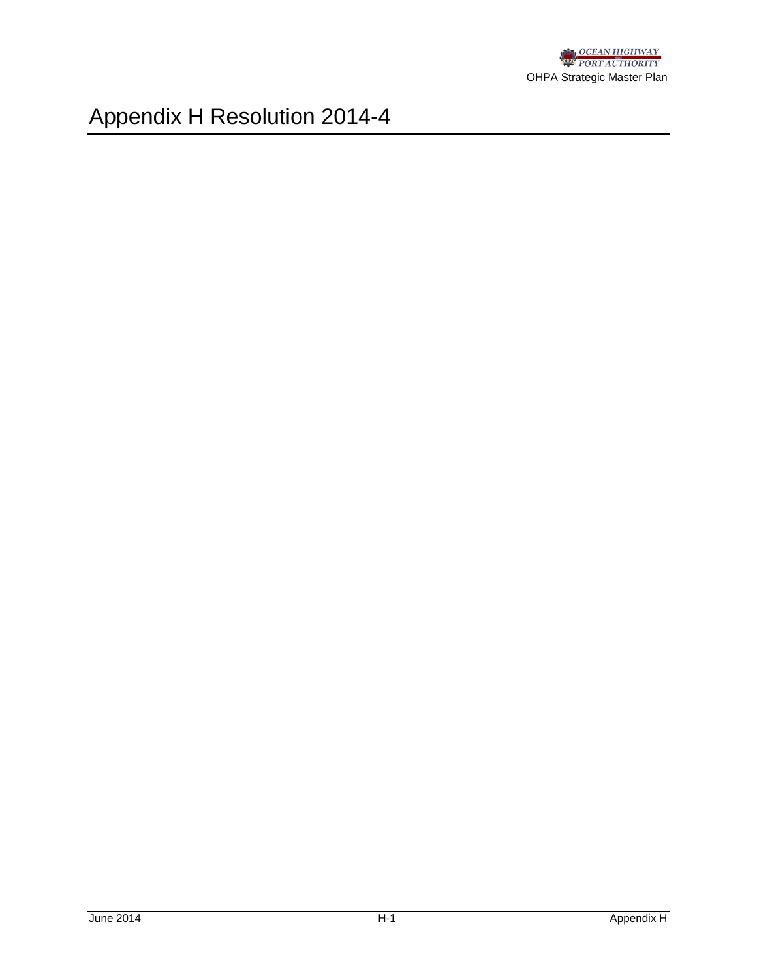Appendix H Resolution 2014-4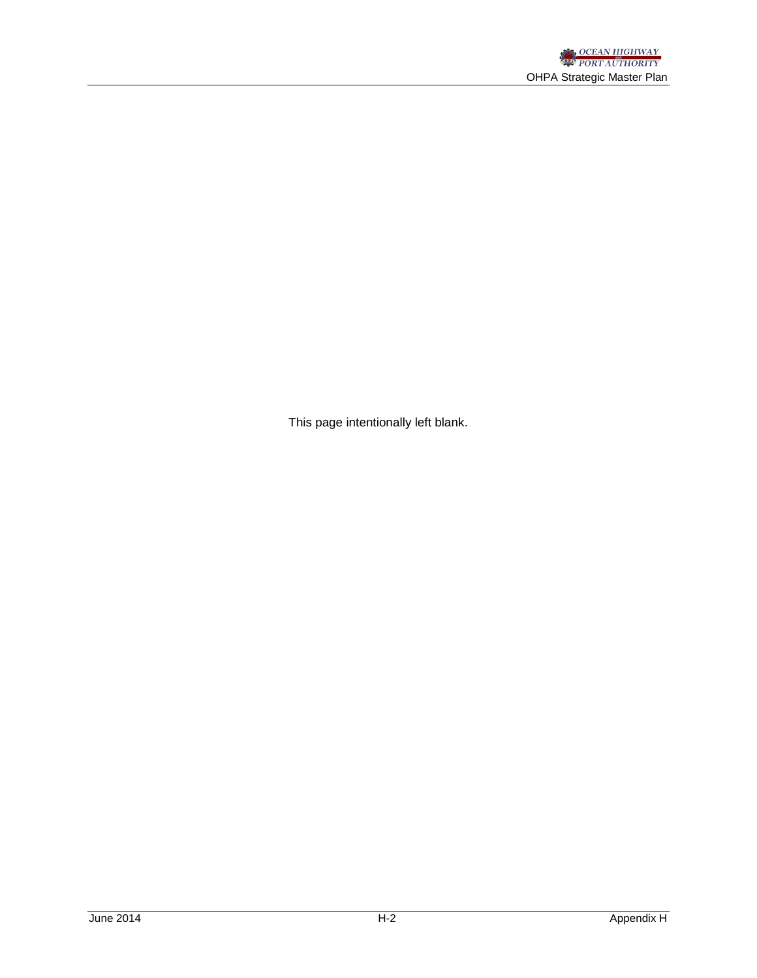This page intentionally left blank.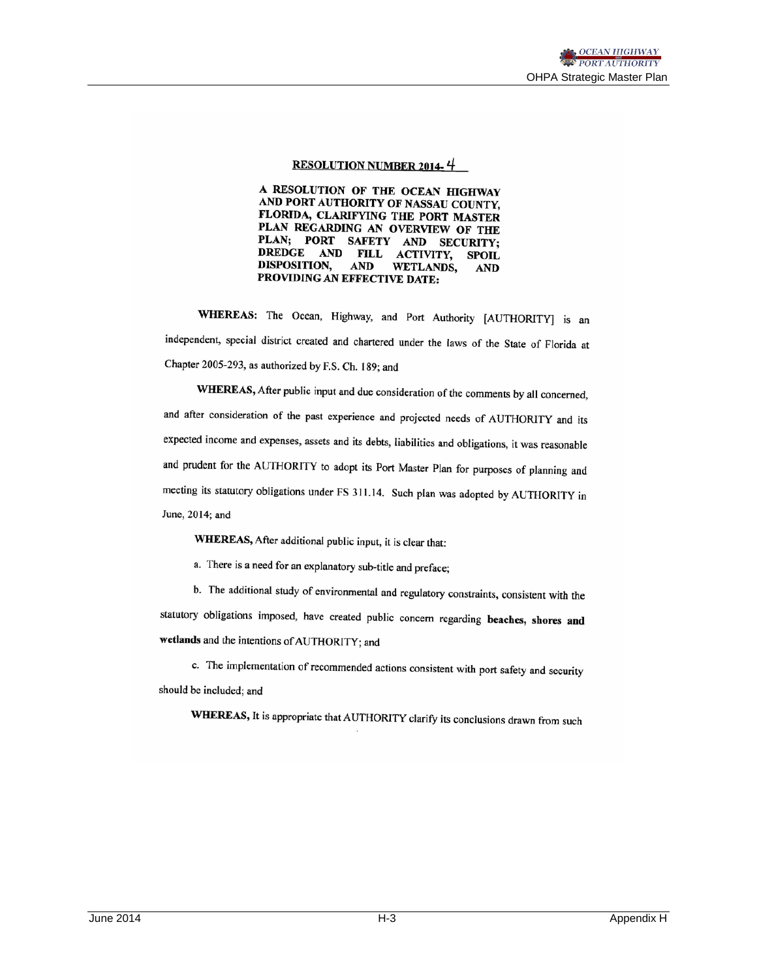#### **RESOLUTION NUMBER 2014-4**

A RESOLUTION OF THE OCEAN HIGHWAY AND PORT AUTHORITY OF NASSAU COUNTY, FLORIDA, CLARIFYING THE PORT MASTER PLAN REGARDING AN OVERVIEW OF THE PLAN; PORT SAFETY AND SECURITY; DREDGE AND FILL **ACTIVITY, SPOIL DISPOSITION. AND WETLANDS, AND** PROVIDING AN EFFECTIVE DATE:

WHEREAS: The Ocean, Highway, and Port Authority [AUTHORITY] is an independent, special district created and chartered under the laws of the State of Florida at Chapter 2005-293, as authorized by F.S. Ch. 189; and

WHEREAS, After public input and due consideration of the comments by all concerned, and after consideration of the past experience and projected needs of AUTHORITY and its expected income and expenses, assets and its debts, liabilities and obligations, it was reasonable and prudent for the AUTHORITY to adopt its Port Master Plan for purposes of planning and meeting its statutory obligations under FS 311.14. Such plan was adopted by AUTHORITY in June, 2014; and

WHEREAS, After additional public input, it is clear that:

a. There is a need for an explanatory sub-title and preface;

b. The additional study of environmental and regulatory constraints, consistent with the statutory obligations imposed, have created public concern regarding beaches, shores and wetlands and the intentions of AUTHORITY; and

c. The implementation of recommended actions consistent with port safety and security should be included; and

WHEREAS, It is appropriate that AUTHORITY clarify its conclusions drawn from such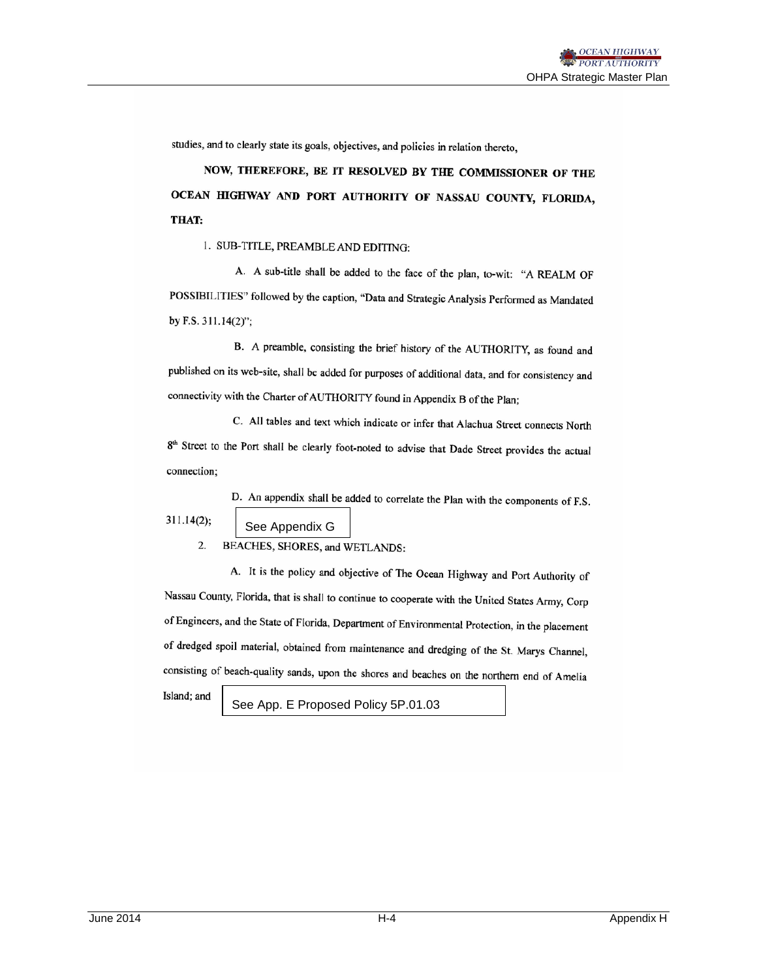studies, and to clearly state its goals, objectives, and policies in relation thereto,

NOW, THEREFORE, BE IT RESOLVED BY THE COMMISSIONER OF THE OCEAN HIGHWAY AND PORT AUTHORITY OF NASSAU COUNTY, FLORIDA, THAT:

1. SUB-TITLE, PREAMBLE AND EDITING:

A. A sub-title shall be added to the face of the plan, to-wit: "A REALM OF POSSIBILITIES" followed by the caption, "Data and Strategic Analysis Performed as Mandated by F.S. 311.14(2)";

B. A preamble, consisting the brief history of the AUTHORITY, as found and published on its web-site, shall be added for purposes of additional data, and for consistency and connectivity with the Charter of AUTHORITY found in Appendix B of the Plan;

C. All tables and text which indicate or infer that Alachua Street connects North 8<sup>th</sup> Street to the Port shall be clearly foot-noted to advise that Dade Street provides the actual connection;

D. An appendix shall be added to correlate the Plan with the components of F.S.

311.14(2); 
$$
\left| \begin{array}{c} \text{See Appendix G} \end{array} \right|
$$

BEACHES, SHORES, and WETLANDS: 2.

A. It is the policy and objective of The Ocean Highway and Port Authority of Nassau County, Florida, that is shall to continue to cooperate with the United States Army, Corp of Engineers, and the State of Florida, Department of Environmental Protection, in the placement of dredged spoil material, obtained from maintenance and dredging of the St. Marys Channel, consisting of beach-quality sands, upon the shores and beaches on the northern end of Amelia

Island; and

See App. E Proposed Policy 5P.01.03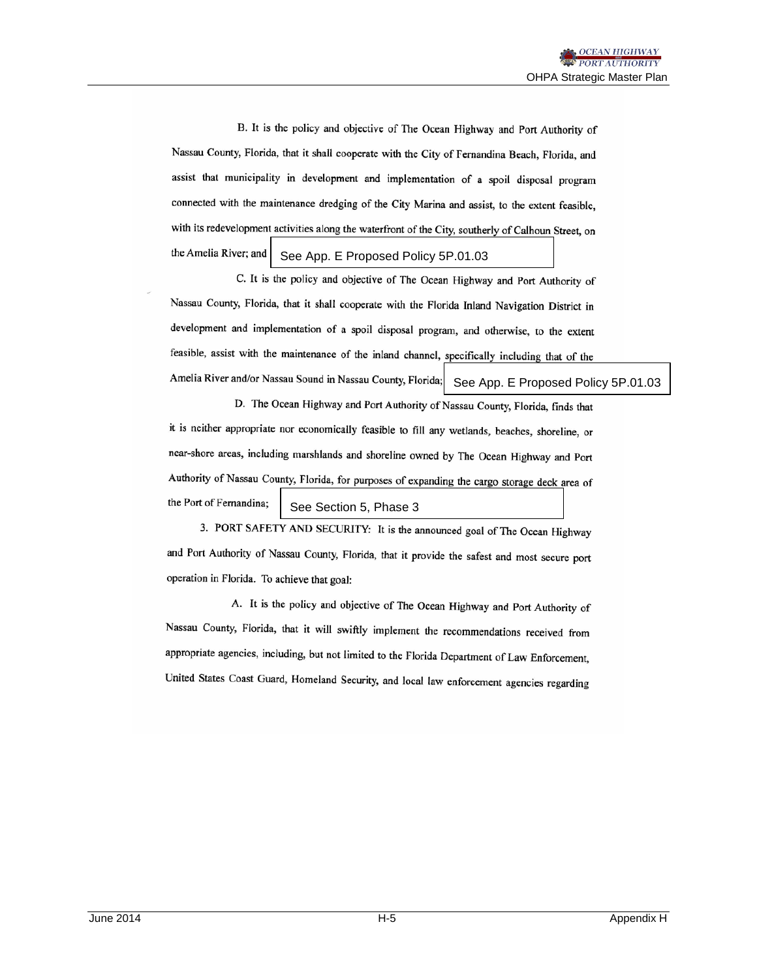B. It is the policy and objective of The Ocean Highway and Port Authority of Nassau County, Florida, that it shall cooperate with the City of Fernandina Beach, Florida, and assist that municipality in development and implementation of a spoil disposal program connected with the maintenance dredging of the City Marina and assist, to the extent feasible, with its redevelopment activities along the waterfront of the City, southerly of Calhoun Street, on the Amelia River; and See App. E Proposed Policy 5P.01.03

C. It is the policy and objective of The Ocean Highway and Port Authority of Nassau County, Florida, that it shall cooperate with the Florida Inland Navigation District in development and implementation of a spoil disposal program, and otherwise, to the extent feasible, assist with the maintenance of the inland channel, specifically including that of the Amelia River and/or Nassau Sound in Nassau County, Florida; See App. E Proposed Policy 5P.01.03

D. The Ocean Highway and Port Authority of Nassau County, Florida, finds that it is neither appropriate nor economically feasible to fill any wetlands, beaches, shoreline, or near-shore areas, including marshlands and shoreline owned by The Ocean Highway and Port Authority of Nassau County, Florida, for purposes of expanding the cargo storage deck area of the Port of Fernandina; See Section 5, Phase 3

3. PORT SAFETY AND SECURITY: It is the announced goal of The Ocean Highway and Port Authority of Nassau County, Florida, that it provide the safest and most secure port operation in Florida. To achieve that goal:

A. It is the policy and objective of The Ocean Highway and Port Authority of Nassau County, Florida, that it will swiftly implement the recommendations received from appropriate agencies, including, but not limited to the Florida Department of Law Enforcement, United States Coast Guard, Homeland Security, and local law enforcement agencies regarding